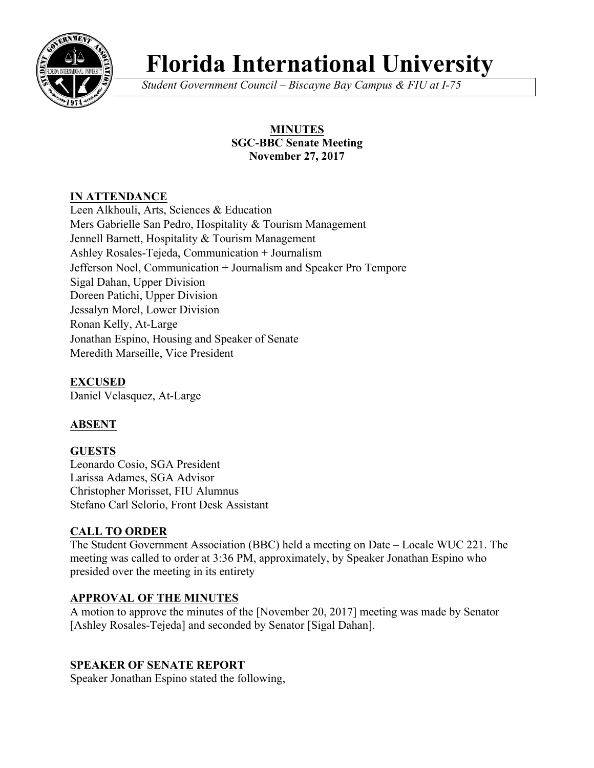

# **Florida International University**

*Student Government Council – Biscayne Bay Campus & FIU at I-75*

## **MINUTES SGC-BBC Senate Meeting November 27, 2017**

## **IN ATTENDANCE**

Leen Alkhouli, Arts, Sciences & Education Mers Gabrielle San Pedro, Hospitality & Tourism Management Jennell Barnett, Hospitality & Tourism Management Ashley Rosales-Tejeda, Communication + Journalism Jefferson Noel, Communication + Journalism and Speaker Pro Tempore Sigal Dahan, Upper Division Doreen Patichi, Upper Division Jessalyn Morel, Lower Division Ronan Kelly, At-Large Jonathan Espino, Housing and Speaker of Senate Meredith Marseille, Vice President

**EXCUSED** Daniel Velasquez, At-Large

# **ABSENT**

# **GUESTS**

Leonardo Cosio, SGA President Larissa Adames, SGA Advisor Christopher Morisset, FIU Alumnus Stefano Carl Selorio, Front Desk Assistant

# **CALL TO ORDER**

The Student Government Association (BBC) held a meeting on Date – Locale WUC 221. The meeting was called to order at 3:36 PM, approximately, by Speaker Jonathan Espino who presided over the meeting in its entirety

## **APPROVAL OF THE MINUTES**

A motion to approve the minutes of the [November 20, 2017] meeting was made by Senator [Ashley Rosales-Tejeda] and seconded by Senator [Sigal Dahan].

## **SPEAKER OF SENATE REPORT**

Speaker Jonathan Espino stated the following,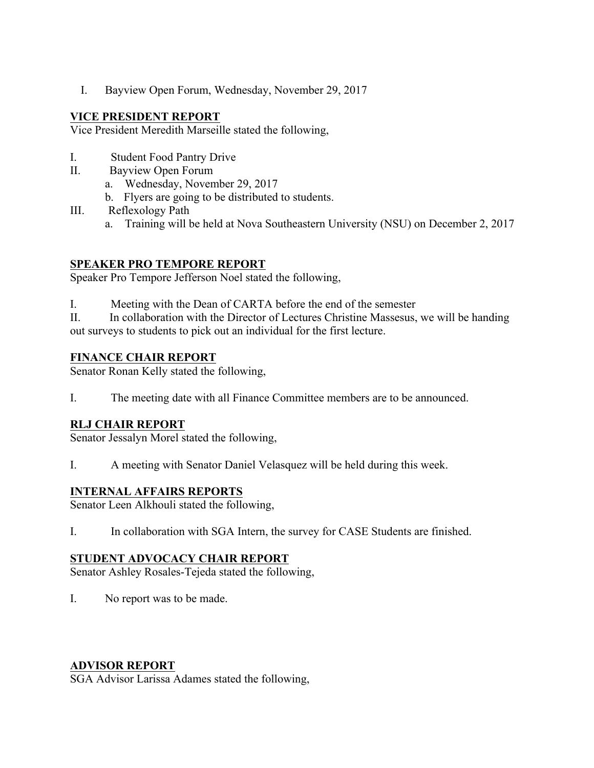I. Bayview Open Forum, Wednesday, November 29, 2017

#### **VICE PRESIDENT REPORT**

Vice President Meredith Marseille stated the following,

- I. Student Food Pantry Drive
- II. Bayview Open Forum
	- a. Wednesday, November 29, 2017
	- b. Flyers are going to be distributed to students.
- III. Reflexology Path
	- a. Training will be held at Nova Southeastern University (NSU) on December 2, 2017

## **SPEAKER PRO TEMPORE REPORT**

Speaker Pro Tempore Jefferson Noel stated the following,

I. Meeting with the Dean of CARTA before the end of the semester

II. In collaboration with the Director of Lectures Christine Massesus, we will be handing out surveys to students to pick out an individual for the first lecture.

## **FINANCE CHAIR REPORT**

Senator Ronan Kelly stated the following,

I. The meeting date with all Finance Committee members are to be announced.

## **RLJ CHAIR REPORT**

Senator Jessalyn Morel stated the following,

I. A meeting with Senator Daniel Velasquez will be held during this week.

## **INTERNAL AFFAIRS REPORTS**

Senator Leen Alkhouli stated the following,

I. In collaboration with SGA Intern, the survey for CASE Students are finished.

## **STUDENT ADVOCACY CHAIR REPORT**

Senator Ashley Rosales-Tejeda stated the following,

I. No report was to be made.

## **ADVISOR REPORT**

SGA Advisor Larissa Adames stated the following,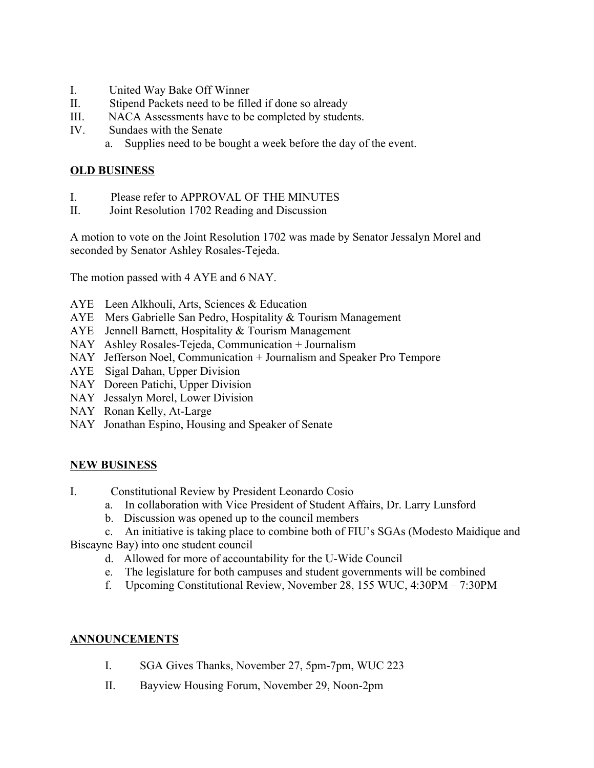- I. United Way Bake Off Winner
- II. Stipend Packets need to be filled if done so already
- III. NACA Assessments have to be completed by students.
- IV. Sundaes with the Senate
	- a. Supplies need to be bought a week before the day of the event.

#### **OLD BUSINESS**

- I. Please refer to APPROVAL OF THE MINUTES
- II. Joint Resolution 1702 Reading and Discussion

A motion to vote on the Joint Resolution 1702 was made by Senator Jessalyn Morel and seconded by Senator Ashley Rosales-Tejeda.

The motion passed with 4 AYE and 6 NAY.

- AYE Leen Alkhouli, Arts, Sciences & Education
- AYE Mers Gabrielle San Pedro, Hospitality & Tourism Management
- AYE Jennell Barnett, Hospitality & Tourism Management
- NAY Ashley Rosales-Tejeda, Communication + Journalism
- NAY Jefferson Noel, Communication + Journalism and Speaker Pro Tempore
- AYE Sigal Dahan, Upper Division
- NAY Doreen Patichi, Upper Division
- NAY Jessalyn Morel, Lower Division
- NAY Ronan Kelly, At-Large
- NAY Jonathan Espino, Housing and Speaker of Senate

## **NEW BUSINESS**

- I. Constitutional Review by President Leonardo Cosio
	- a. In collaboration with Vice President of Student Affairs, Dr. Larry Lunsford
	- b. Discussion was opened up to the council members

c. An initiative is taking place to combine both of FIU's SGAs (Modesto Maidique and Biscayne Bay) into one student council

- d. Allowed for more of accountability for the U-Wide Council
- e. The legislature for both campuses and student governments will be combined
- f. Upcoming Constitutional Review, November 28, 155 WUC, 4:30PM 7:30PM

#### **ANNOUNCEMENTS**

- I. SGA Gives Thanks, November 27, 5pm-7pm, WUC 223
- II. Bayview Housing Forum, November 29, Noon-2pm